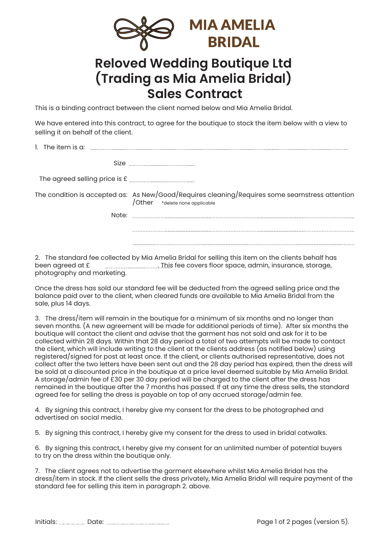

## **Reloved Wedding Boutique Ltd (Trading as Mia Amelia Bridal) Sales Contract**

This is a binding contract between the client named below and Mia Amelia Bridal.

We have entered into this contract, to agree for the boutique to stock the item below with a view to selling it on behalf of the client.

| 1. The item is a: |                                                                                                                                            |
|-------------------|--------------------------------------------------------------------------------------------------------------------------------------------|
| Size              |                                                                                                                                            |
|                   |                                                                                                                                            |
|                   | The condition is accepted as: As New/Good/Requires cleaning/Requires some seamstress attention / Other $*_{\text{delete none applicable}}$ |
| vlute.            |                                                                                                                                            |
|                   |                                                                                                                                            |
|                   |                                                                                                                                            |

2. The standard fee collected by Mia Amelia Bridal for selling this item on the clients behalf has been agreed at  $E_{\text{min}} = 0.75$  This fee covers floor space, admin, insurance, storage, been agreed at £ . This fee covers floor space, admin, insurance, storage, photography and marketing.

Once the dress has sold our standard fee will be deducted from the agreed selling price and the balance paid over to the client, when cleared funds are available to Mia Amelia Bridal from the sale, plus 14 days.

3. The dress/item will remain in the boutique for a minimum of six months and no longer than seven months. (A new agreement will be made for additional periods of time). After six months the boutique will contact the client and advise that the garment has not sold and ask for it to be collected within 28 days. Within that 28 day period a total of two attempts will be made to contact the client, which will include writing to the client at the clients address (as notified below) using registered/signed for post at least once. If the client, or clients authorised representative, does not collect after the two letters have been sent out and the 28 day period has expired, then the dress will be sold at a discounted price in the boutique at a price level deemed suitable by Mia Amelia Bridal. A storage/admin fee of £30 per 30 day period will be charged to the client after the dress has remained in the boutique after the 7 months has passed. If at any time the dress sells, the standard agreed fee for selling the dress is payable on top of any accrued storage/admin fee.

4. By signing this contract, I hereby give my consent for the dress to be photographed and advertised on social media.

5. By signing this contract, I hereby give my consent for the dress to used in bridal catwalks.

6. By signing this contract, I hereby give my consent for an unlimited number of potential buyers to try on the dress within the boutique only.

7. The client agrees not to advertise the garment elsewhere whilst Mia Amelia Bridal has the dress/item in stock. If the client sells the dress privately, Mia Amelia Bridal will require payment of the standard fee for selling this item in paragraph 2. above.

Initials: Date: Page 1 of 2 pages (version 5).